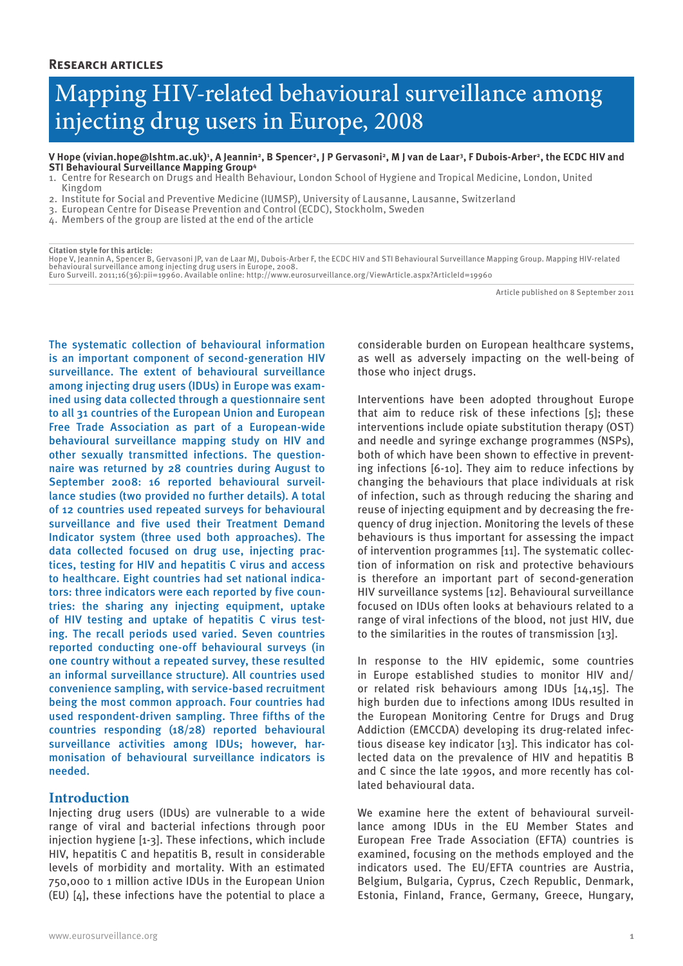# Mapping HIV-related behavioural surveillance among injecting drug users in Europe, 2008

#### V Hope (vivian.hope@lshtm.ac.uk)', A Jeannin<sup>2</sup>, B Spencer<sup>2</sup>, J P Gervasoni<sup>2</sup>, M J van de Laar<sup>3</sup>, F Dubois-Arber<sup>2</sup>, the ECDC HIV and **STI Behavioural Surveillance Mapping Group4**

- 1. Centre for Research on Drugs and Health Behaviour, London School of Hygiene and Tropical Medicine, London, United Kingdom
- 2. Institute for Social and Preventive Medicine (IUMSP), University of Lausanne, Lausanne, Switzerland
- 3. European Centre for Disease Prevention and Control (ECDC), Stockholm, Sweden
- 4. Members of the group are listed at the end of the article

**Citation style for this article:**

Hope V, Jeannin A, Spencer B, Gervasoni JP, van de Laar MJ, Dubois-Arber F, the ECDC HIV and STI Behavioural Surveillance Mapping Group. Mapping HIV-related<br>behavioural surveillance among injecting drug users in Europe, 20

Article published on 8 September 2011

The systematic collection of behavioural information is an important component of second-generation HIV surveillance. The extent of behavioural surveillance among injecting drug users (IDUs) in Europe was examined using data collected through a questionnaire sent to all 31 countries of the European Union and European Free Trade Association as part of a European-wide behavioural surveillance mapping study on HIV and other sexually transmitted infections. The questionnaire was returned by 28 countries during August to September 2008: 16 reported behavioural surveillance studies (two provided no further details). A total of 12 countries used repeated surveys for behavioural surveillance and five used their Treatment Demand Indicator system (three used both approaches). The data collected focused on drug use, injecting practices, testing for HIV and hepatitis C virus and access to healthcare. Eight countries had set national indicators: three indicators were each reported by five countries: the sharing any injecting equipment, uptake of HIV testing and uptake of hepatitis C virus testing. The recall periods used varied. Seven countries reported conducting one-off behavioural surveys (in one country without a repeated survey, these resulted an informal surveillance structure). All countries used convenience sampling, with service-based recruitment being the most common approach. Four countries had used respondent-driven sampling. Three fifths of the countries responding (18/28) reported behavioural surveillance activities among IDUs; however, harmonisation of behavioural surveillance indicators is needed.

## **Introduction**

Injecting drug users (IDUs) are vulnerable to a wide range of viral and bacterial infections through poor injection hygiene [1-3]. These infections, which include HIV, hepatitis C and hepatitis B, result in considerable levels of morbidity and mortality. With an estimated 750,000 to 1 million active IDUs in the European Union (EU) [4], these infections have the potential to place a

considerable burden on European healthcare systems, as well as adversely impacting on the well-being of those who inject drugs.

Interventions have been adopted throughout Europe that aim to reduce risk of these infections [5]; these interventions include opiate substitution therapy (OST) and needle and syringe exchange programmes (NSPs), both of which have been shown to effective in preventing infections [6-10]. They aim to reduce infections by changing the behaviours that place individuals at risk of infection, such as through reducing the sharing and reuse of injecting equipment and by decreasing the frequency of drug injection. Monitoring the levels of these behaviours is thus important for assessing the impact of intervention programmes [11]. The systematic collection of information on risk and protective behaviours is therefore an important part of second-generation HIV surveillance systems [12]. Behavioural surveillance focused on IDUs often looks at behaviours related to a range of viral infections of the blood, not just HIV, due to the similarities in the routes of transmission [13].

In response to the HIV epidemic, some countries in Europe established studies to monitor HIV and/ or related risk behaviours among IDUs [14,15]. The high burden due to infections among IDUs resulted in the European Monitoring Centre for Drugs and Drug Addiction (EMCCDA) developing its drug-related infectious disease key indicator [13]. This indicator has collected data on the prevalence of HIV and hepatitis B and C since the late 1990s, and more recently has collated behavioural data.

We examine here the extent of behavioural surveillance among IDUs in the EU Member States and European Free Trade Association (EFTA) countries is examined, focusing on the methods employed and the indicators used. The EU/EFTA countries are Austria, Belgium, Bulgaria, Cyprus, Czech Republic, Denmark, Estonia, Finland, France, Germany, Greece, Hungary,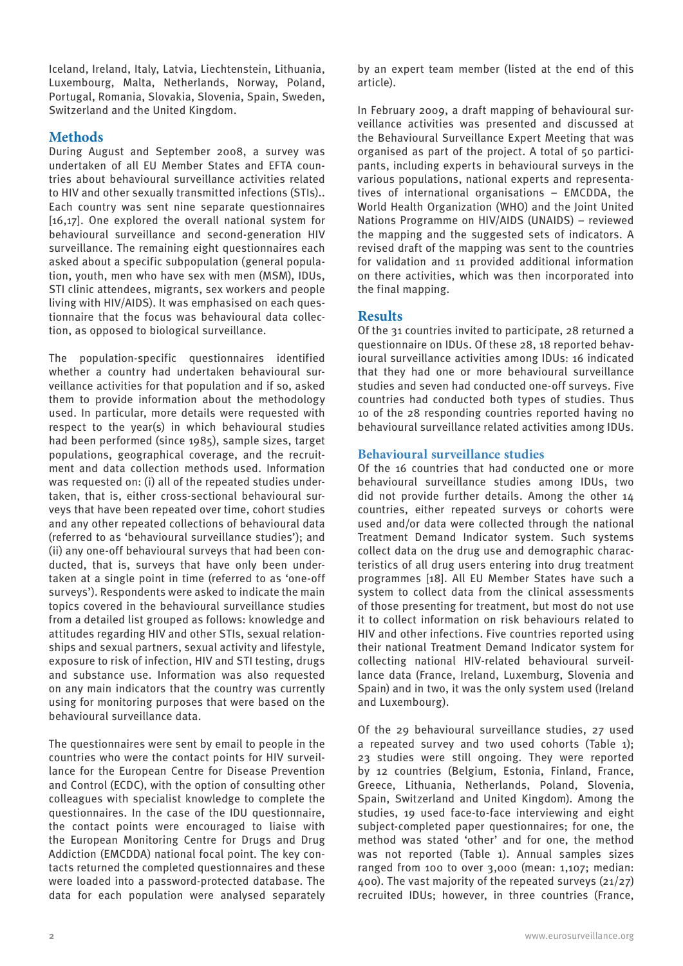Iceland, Ireland, Italy, Latvia, Liechtenstein, Lithuania, Luxembourg, Malta, Netherlands, Norway, Poland, Portugal, Romania, Slovakia, Slovenia, Spain, Sweden, Switzerland and the United Kingdom.

# **Methods**

During August and September 2008, a survey was undertaken of all EU Member States and EFTA countries about behavioural surveillance activities related to HIV and other sexually transmitted infections (STIs).. Each country was sent nine separate questionnaires [16,17]. One explored the overall national system for behavioural surveillance and second-generation HIV surveillance. The remaining eight questionnaires each asked about a specific subpopulation (general population, youth, men who have sex with men (MSM), IDUs, STI clinic attendees, migrants, sex workers and people living with HIV/AIDS). It was emphasised on each questionnaire that the focus was behavioural data collection, as opposed to biological surveillance.

The population-specific questionnaires identified whether a country had undertaken behavioural surveillance activities for that population and if so, asked them to provide information about the methodology used. In particular, more details were requested with respect to the year(s) in which behavioural studies had been performed (since 1985), sample sizes, target populations, geographical coverage, and the recruitment and data collection methods used. Information was requested on: (i) all of the repeated studies undertaken, that is, either cross-sectional behavioural surveys that have been repeated over time, cohort studies and any other repeated collections of behavioural data (referred to as 'behavioural surveillance studies'); and (ii) any one-off behavioural surveys that had been conducted, that is, surveys that have only been undertaken at a single point in time (referred to as 'one-off surveys'). Respondents were asked to indicate the main topics covered in the behavioural surveillance studies from a detailed list grouped as follows: knowledge and attitudes regarding HIV and other STIs, sexual relationships and sexual partners, sexual activity and lifestyle, exposure to risk of infection, HIV and STI testing, drugs and substance use. Information was also requested on any main indicators that the country was currently using for monitoring purposes that were based on the behavioural surveillance data.

The questionnaires were sent by email to people in the countries who were the contact points for HIV surveillance for the European Centre for Disease Prevention and Control (ECDC), with the option of consulting other colleagues with specialist knowledge to complete the questionnaires. In the case of the IDU questionnaire, the contact points were encouraged to liaise with the European Monitoring Centre for Drugs and Drug Addiction (EMCDDA) national focal point. The key contacts returned the completed questionnaires and these were loaded into a password-protected database. The data for each population were analysed separately by an expert team member (listed at the end of this article).

In February 2009, a draft mapping of behavioural surveillance activities was presented and discussed at the Behavioural Surveillance Expert Meeting that was organised as part of the project. A total of 50 participants, including experts in behavioural surveys in the various populations, national experts and representatives of international organisations – EMCDDA, the World Health Organization (WHO) and the Joint United Nations Programme on HIV/AIDS (UNAIDS) – reviewed the mapping and the suggested sets of indicators. A revised draft of the mapping was sent to the countries for validation and 11 provided additional information on there activities, which was then incorporated into the final mapping.

# **Results**

Of the 31 countries invited to participate, 28 returned a questionnaire on IDUs. Of these 28, 18 reported behavioural surveillance activities among IDUs: 16 indicated that they had one or more behavioural surveillance studies and seven had conducted one-off surveys. Five countries had conducted both types of studies. Thus 10 of the 28 responding countries reported having no behavioural surveillance related activities among IDUs.

# **Behavioural surveillance studies**

Of the 16 countries that had conducted one or more behavioural surveillance studies among IDUs, two did not provide further details. Among the other 14 countries, either repeated surveys or cohorts were used and/or data were collected through the national Treatment Demand Indicator system. Such systems collect data on the drug use and demographic characteristics of all drug users entering into drug treatment programmes [18]. All EU Member States have such a system to collect data from the clinical assessments of those presenting for treatment, but most do not use it to collect information on risk behaviours related to HIV and other infections. Five countries reported using their national Treatment Demand Indicator system for collecting national HIV-related behavioural surveillance data (France, Ireland, Luxemburg, Slovenia and Spain) and in two, it was the only system used (Ireland and Luxembourg).

Of the 29 behavioural surveillance studies, 27 used a repeated survey and two used cohorts (Table 1); 23 studies were still ongoing. They were reported by 12 countries (Belgium, Estonia, Finland, France, Greece, Lithuania, Netherlands, Poland, Slovenia, Spain, Switzerland and United Kingdom). Among the studies, 19 used face-to-face interviewing and eight subject-completed paper questionnaires; for one, the method was stated 'other' and for one, the method was not reported (Table 1). Annual samples sizes ranged from 100 to over 3,000 (mean: 1,107; median: 400). The vast majority of the repeated surveys (21/27) recruited IDUs; however, in three countries (France,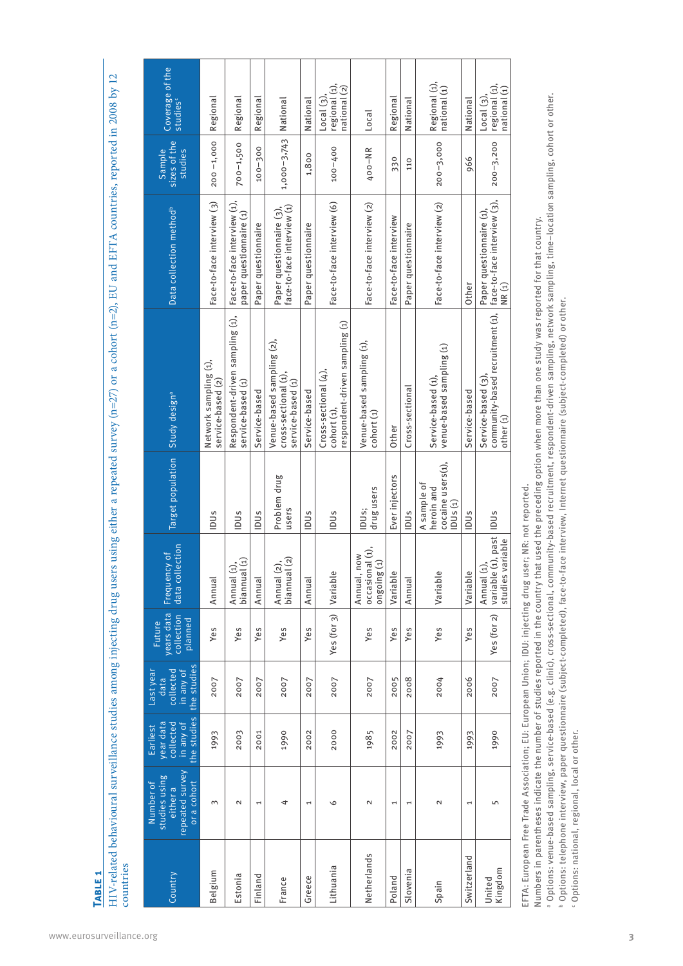HIV-related behavioural surveillance studies among injecting drug users using either a repeated survey (n=27) or a cohort (n=2), EU and EFTA countries, reported in 2008 by 12 HIV-related behavioural surveillance studies among injecting drug users using either a repeated survey (n=27) or a cohort (n=2), EU and EFTA countries, reported in 2008 by 12 countries countries

| Country           | repeated survey<br>studies using<br>Number of<br>or a cohort<br>either a | the studies<br>year data<br>collected<br>in any of<br>Earliest | the studies<br>Last year<br>collected<br>in any of<br>data | years data<br>collection<br>planned<br>Future | ection<br>Frequency of<br>data coll                      | Target population                                         | Study design <sup>a</sup>                                                                        | Data collection method <sup>b</sup>                    | sizes of the<br><b>Sample</b><br>studies | Coverage of the<br>studies <sup>c</sup>    |
|-------------------|--------------------------------------------------------------------------|----------------------------------------------------------------|------------------------------------------------------------|-----------------------------------------------|----------------------------------------------------------|-----------------------------------------------------------|--------------------------------------------------------------------------------------------------|--------------------------------------------------------|------------------------------------------|--------------------------------------------|
| Belgium           | 3                                                                        | 1993                                                           | 2007                                                       | Yes                                           | Annual                                                   | IDUs                                                      | Network sampling (1),<br>service-based (2)                                                       | Face-to-face interview (3)                             | $200 - 1,000$                            | Regional                                   |
| Estonia           | $\mathbf 2$                                                              | 2003                                                           | 2007                                                       | Yes                                           | $\left( 1\right)$<br>Annual (1),<br>biannual             | <b>IDUs</b>                                               | Respondent-driven sampling (1),<br>service-based (1)                                             | Face-to-face interview (1),<br>paper questionnaire (1) | $700 - 1,500$                            | Regional                                   |
| Finland           | 1                                                                        | 2001                                                           | 2007                                                       | Yes                                           | Annual                                                   | <b>IDUs</b>                                               | Service-based                                                                                    | Paper questionnaire                                    | $100 - 300$                              | Regional                                   |
| France            | 4                                                                        | 1990                                                           | 2007                                                       | Yes                                           | $\overline{c}$<br>Annual (2),<br>biannual (2)            | Problem drug<br>users                                     | Venue-based sampling (2),<br>cross-sectional (1),<br>service-based (1)                           | face-to-face interview (1)<br>Paper questionnaire (3), | 1,000-3,743   National                   |                                            |
| Greece            | 1                                                                        | 2002                                                           | 2007                                                       | Yes                                           | Annual                                                   | IDUs                                                      | Service-based                                                                                    | Paper questionnaire                                    | 1,800                                    | National                                   |
| Lithuania         | $\circ$                                                                  | 2000                                                           | 2007                                                       | Yes (for 3) Variable                          |                                                          | IDUs                                                      | respondent-driven sampling (1)<br>Cross-sectional (4),<br>cohort (1),                            | Face-to-face interview (6)                             | 100-400                                  | regional (1),<br>national (2)<br>Local(3), |
| Netherlands       | Z                                                                        | 1985                                                           | 2007                                                       | Yes                                           | occasional (1),<br>now<br>$\Theta$<br>puioguo<br>Annual, | drug users<br>IDU <sub>S</sub> :                          | Venue-based sampling (1),<br>cohort (1)                                                          | Face-to-face interview (2)                             | 400-NR                                   | Local                                      |
| Poland            | 1                                                                        | 2002                                                           | 2005                                                       | Yes                                           | Variable                                                 | Ever injectors                                            | Other                                                                                            | Face-to-face interview                                 | 330                                      | Regional                                   |
| Slovenia          | Ţ                                                                        | 2007                                                           | 2008                                                       | Yes                                           | Annual                                                   | <b>PUS</b>                                                | Cross-sectional                                                                                  | Paper questionnaire                                    | 110                                      | National                                   |
| Spain             | Σ                                                                        | 1993                                                           | 2004                                                       | Yes                                           | Variable                                                 | cocaine users(1),<br>A sample of<br>heroin and<br>IDUS(1) | venue-based sampling (1)<br>Service-based (1)                                                    | Face-to-face interview (2)                             | $200 - 3,000$                            | Regional (1),<br>national (1)              |
| Switzerland       | 1                                                                        | 1993                                                           | 2006                                                       | Yes                                           | Variable                                                 | <b>IDUs</b>                                               | Service-based                                                                                    | Other                                                  | 966                                      | National                                   |
| Kingdom<br>United | 5                                                                        | 1990                                                           | 2007                                                       | Yes (for 2)                                   | variable (1), past<br>studies variable<br>Annual (1),    | IDUs                                                      | community-based recruitment (1),   face-to-face interview (3),<br>Service-based (3)<br>other (1) | Paper questionnaire (1),<br>NR (1)                     | $200 - 3,200$                            | regional (1),<br>national (1)<br>Local(3)  |

EFTA: European Free Trade Association; EU: European Union; IDU: injecting drug user; NR: not reported. EFTA: European Free Trade Association; EU: European Union; IDU: injecting drug user; NR: not reported.

Options: national, regional, local or other.

<sup>a</sup> Options: venue-based sampling, service-based (e.g. clinic), cross-sectional, community-based recruitment, respondent-driven sampling, network sampling, time-location sampling, cohort or other. Options: venue-based sampling, service-based (e.g. clinic), cross-sectional, community-based recruitment, respondent-driven sampling, network sampling, time–location sampling, cohort or other. Numbers in parentheses indicate the number of studies reported in the country that used the preceding option when more than one study was reported for that country. Numbers in parentheses indicate the number of studies reported in the country that used the preceding option when more than one study was reported for that country. Options: telephone interview, paper questionnaire (subject-completed), face-to-face interview, Internet questionnaire (subject-completed) or other. ے ص

**Table 1**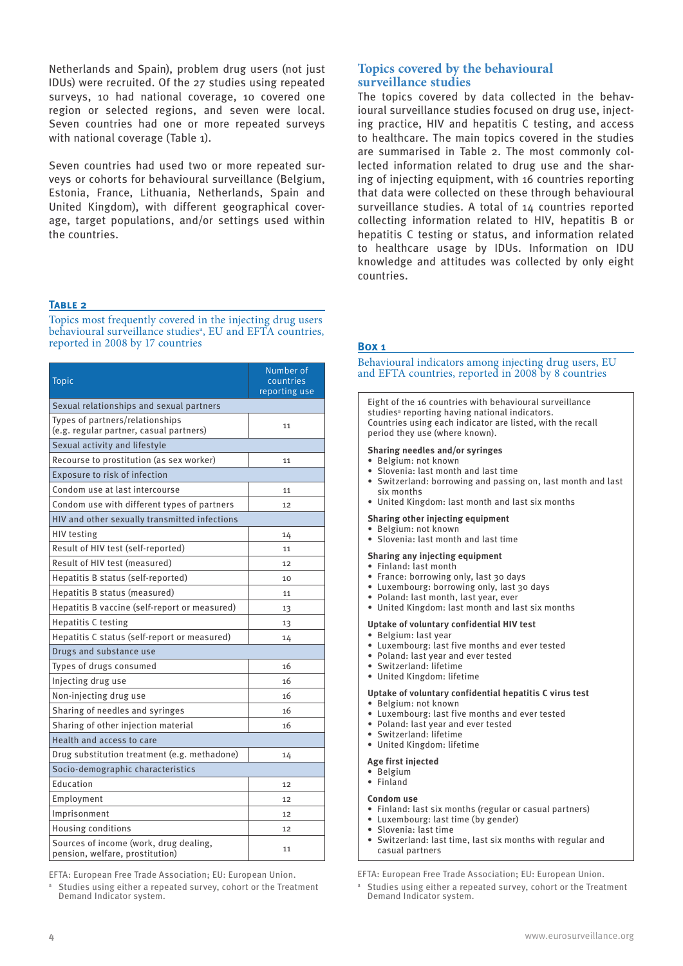Netherlands and Spain), problem drug users (not just IDUs) were recruited. Of the 27 studies using repeated surveys, 10 had national coverage, 10 covered one region or selected regions, and seven were local. Seven countries had one or more repeated surveys with national coverage (Table 1).

Seven countries had used two or more repeated surveys or cohorts for behavioural surveillance (Belgium, Estonia, France, Lithuania, Netherlands, Spain and United Kingdom), with different geographical coverage, target populations, and/or settings used within the countries.

# **Topics covered by the behavioural surveillance studies**

The topics covered by data collected in the behavioural surveillance studies focused on drug use, injecting practice, HIV and hepatitis C testing, and access to healthcare. The main topics covered in the studies are summarised in Table 2. The most commonly collected information related to drug use and the sharing of injecting equipment, with 16 countries reporting that data were collected on these through behavioural surveillance studies. A total of 14 countries reported collecting information related to HIV, hepatitis B or hepatitis C testing or status, and information related to healthcare usage by IDUs. Information on IDU knowledge and attitudes was collected by only eight countries.

## **Table 2**

Topics most frequently covered in the injecting drug users behavioural surveillance studies<sup>a</sup>, EU and EFTA countries, reported in 2008 by 17 countries

| <b>Topic</b>                                                               | Number of<br>countries<br>reporting use |
|----------------------------------------------------------------------------|-----------------------------------------|
| Sexual relationships and sexual partners                                   |                                         |
| Types of partners/relationships<br>(e.g. regular partner, casual partners) | 11                                      |
| Sexual activity and lifestyle                                              |                                         |
| Recourse to prostitution (as sex worker)                                   | 11                                      |
| Exposure to risk of infection                                              |                                         |
| Condom use at last intercourse                                             | 11                                      |
| Condom use with different types of partners                                | 12                                      |
| HIV and other sexually transmitted infections                              |                                         |
| <b>HIV</b> testing                                                         | 14                                      |
| Result of HIV test (self-reported)                                         | 11                                      |
| Result of HIV test (measured)                                              | 12                                      |
| Hepatitis B status (self-reported)                                         | 10                                      |
| Hepatitis B status (measured)                                              | 11                                      |
| Hepatitis B vaccine (self-report or measured)                              | 13                                      |
| <b>Hepatitis C testing</b>                                                 | 13                                      |
| Hepatitis C status (self-report or measured)                               | 14                                      |
| Drugs and substance use                                                    |                                         |
| Types of drugs consumed                                                    | 16                                      |
| Injecting drug use                                                         | 16                                      |
| Non-injecting drug use                                                     | 16                                      |
| Sharing of needles and syringes                                            | 16                                      |
| Sharing of other injection material                                        | 16                                      |
| Health and access to care                                                  |                                         |
| Drug substitution treatment (e.g. methadone)                               | 14                                      |
| Socio-demographic characteristics                                          |                                         |
| Education                                                                  | 12                                      |
| Employment                                                                 | 12                                      |
| Imprisonment                                                               | 12                                      |
| <b>Housing conditions</b>                                                  | 12                                      |
| Sources of income (work, drug dealing,<br>pension, welfare, prostitution)  | 11                                      |

EFTA: European Free Trade Association; EU: European Union.

a Studies using either a repeated survey, cohort or the Treatment Demand Indicator system.

## **Box 1**

Behavioural indicators among injecting drug users, EU and EFTA countries, reported in 2008 by 8 countries

Eight of the 16 countries with behavioural surveillance studies<sup>a</sup> reporting having national indicators. Countries using each indicator are listed, with the recall period they use (where known).

## **Sharing needles and/or syringes**

- • Belgium: not known
- Slovenia: last month and last time
- Switzerland: borrowing and passing on, last month and last six months
- • United Kingdom: last month and last six months

#### **Sharing other injecting equipment**

- • Belgium: not known
- • Slovenia: last month and last time
- **Sharing any injecting equipment**
- • Finland: last month
- 
- France: borrowing only, last 30 days
- Luxembourg: borrowing only, last 30 days • Poland: last month, last year, ever
- • United Kingdom: last month and last six months
- **Uptake of voluntary confidential HIV test**

## • Belgium: last year

- • Luxembourg: last five months and ever tested
- • Poland: last year and ever tested
- • Switzerland: lifetime
- • United Kingdom: lifetime

## **Uptake of voluntary confidential hepatitis C virus test**

- • Belgium: not known
- • Luxembourg: last five months and ever tested
- • Poland: last year and ever tested
- • Switzerland: lifetime
- • United Kingdom: lifetime
- **Age first injected**
- • Belgium
- • Finland

#### **Condom use**

- • Finland: last six months (regular or casual partners)
- • Luxembourg: last time (by gender)
- Slovenia: last time
- Switzerland: last time, last six months with regular and casual partners

EFTA: European Free Trade Association; EU: European Union.

a Studies using either a repeated survey, cohort or the Treatment Demand Indicator system.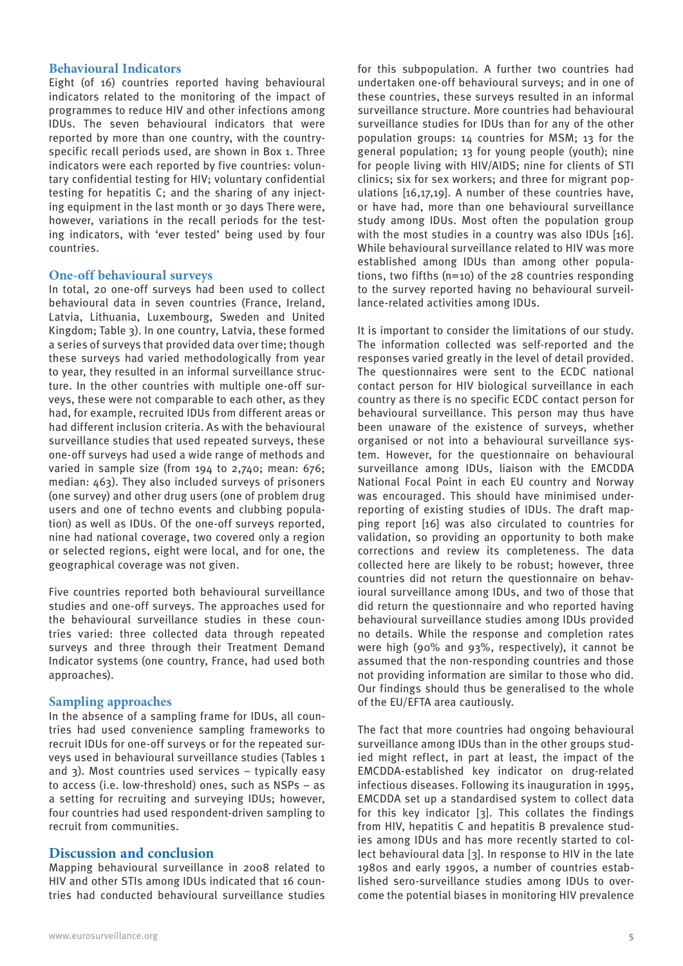## **Behavioural Indicators**

Eight (of 16) countries reported having behavioural indicators related to the monitoring of the impact of programmes to reduce HIV and other infections among IDUs. The seven behavioural indicators that were reported by more than one country, with the countryspecific recall periods used, are shown in Box 1. Three indicators were each reported by five countries: voluntary confidential testing for HIV; voluntary confidential testing for hepatitis C; and the sharing of any injecting equipment in the last month or 30 days There were, however, variations in the recall periods for the testing indicators, with 'ever tested' being used by four countries.

## **One-off behavioural surveys**

In total, 20 one-off surveys had been used to collect behavioural data in seven countries (France, Ireland, Latvia, Lithuania, Luxembourg, Sweden and United Kingdom; Table 3). In one country, Latvia, these formed a series of surveys that provided data over time; though these surveys had varied methodologically from year to year, they resulted in an informal surveillance structure. In the other countries with multiple one-off surveys, these were not comparable to each other, as they had, for example, recruited IDUs from different areas or had different inclusion criteria. As with the behavioural surveillance studies that used repeated surveys, these one-off surveys had used a wide range of methods and varied in sample size (from 194 to 2,740; mean: 676; median: 463). They also included surveys of prisoners (one survey) and other drug users (one of problem drug users and one of techno events and clubbing population) as well as IDUs. Of the one-off surveys reported, nine had national coverage, two covered only a region or selected regions, eight were local, and for one, the geographical coverage was not given.

Five countries reported both behavioural surveillance studies and one-off surveys. The approaches used for the behavioural surveillance studies in these countries varied: three collected data through repeated surveys and three through their Treatment Demand Indicator systems (one country, France, had used both approaches).

## **Sampling approaches**

In the absence of a sampling frame for IDUs, all countries had used convenience sampling frameworks to recruit IDUs for one-off surveys or for the repeated surveys used in behavioural surveillance studies (Tables 1 and 3). Most countries used services – typically easy to access (i.e. low-threshold) ones, such as NSPs – as a setting for recruiting and surveying IDUs; however, four countries had used respondent-driven sampling to recruit from communities.

## **Discussion and conclusion**

Mapping behavioural surveillance in 2008 related to HIV and other STIs among IDUs indicated that 16 countries had conducted behavioural surveillance studies these countries, these surveys resulted in an informal surveillance structure. More countries had behavioural surveillance studies for IDUs than for any of the other population groups: 14 countries for MSM; 13 for the general population; 13 for young people (youth); nine for people living with HIV/AIDS; nine for clients of STI clinics; six for sex workers; and three for migrant populations [16,17,19]. A number of these countries have, or have had, more than one behavioural surveillance study among IDUs. Most often the population group with the most studies in a country was also IDUs [16]. While behavioural surveillance related to HIV was more established among IDUs than among other populations, two fifths (n=10) of the 28 countries responding to the survey reported having no behavioural surveillance-related activities among IDUs.

for this subpopulation. A further two countries had undertaken one-off behavioural surveys; and in one of

It is important to consider the limitations of our study. The information collected was self-reported and the responses varied greatly in the level of detail provided. The questionnaires were sent to the ECDC national contact person for HIV biological surveillance in each country as there is no specific ECDC contact person for behavioural surveillance. This person may thus have been unaware of the existence of surveys, whether organised or not into a behavioural surveillance system. However, for the questionnaire on behavioural surveillance among IDUs, liaison with the EMCDDA National Focal Point in each EU country and Norway was encouraged. This should have minimised underreporting of existing studies of IDUs. The draft mapping report [16] was also circulated to countries for validation, so providing an opportunity to both make corrections and review its completeness. The data collected here are likely to be robust; however, three countries did not return the questionnaire on behavioural surveillance among IDUs, and two of those that did return the questionnaire and who reported having behavioural surveillance studies among IDUs provided no details. While the response and completion rates were high (90% and 93%, respectively), it cannot be assumed that the non-responding countries and those not providing information are similar to those who did. Our findings should thus be generalised to the whole of the EU/EFTA area cautiously.

The fact that more countries had ongoing behavioural surveillance among IDUs than in the other groups studied might reflect, in part at least, the impact of the EMCDDA-established key indicator on drug-related infectious diseases. Following its inauguration in 1995, EMCDDA set up a standardised system to collect data for this key indicator [3]. This collates the findings from HIV, hepatitis C and hepatitis B prevalence studies among IDUs and has more recently started to collect behavioural data [3]. In response to HIV in the late 1980s and early 1990s, a number of countries established sero-surveillance studies among IDUs to overcome the potential biases in monitoring HIV prevalence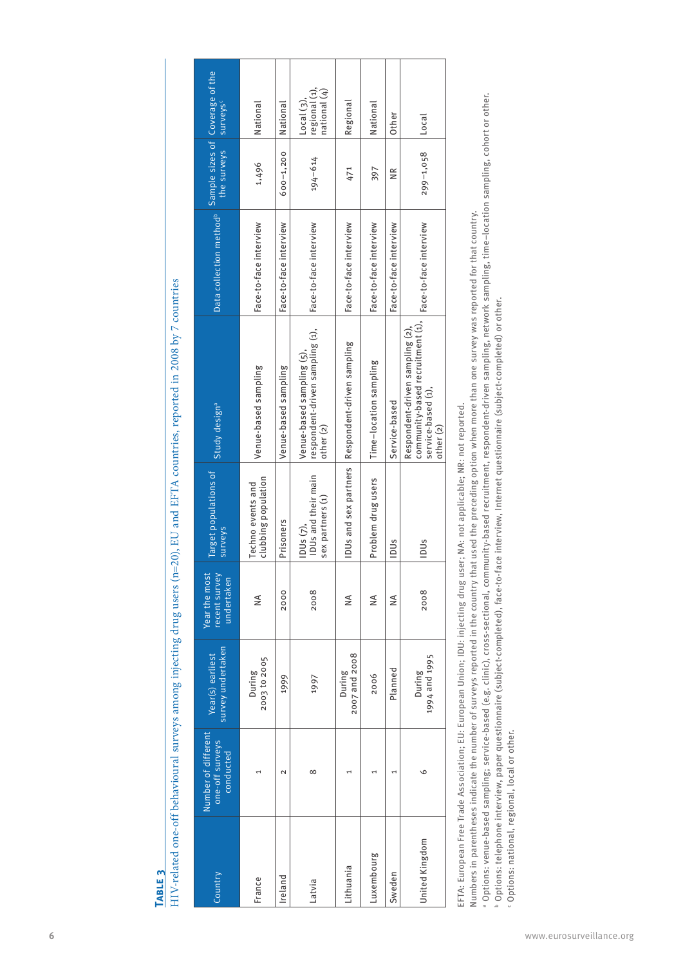|   | ì                                                                                                                             |  |
|---|-------------------------------------------------------------------------------------------------------------------------------|--|
|   |                                                                                                                               |  |
|   |                                                                                                                               |  |
|   |                                                                                                                               |  |
|   |                                                                                                                               |  |
|   |                                                                                                                               |  |
|   |                                                                                                                               |  |
|   | ֚֚֚֬                                                                                                                          |  |
|   |                                                                                                                               |  |
|   | ֧֚֚֝<br>֚֚֚֚֚֚֚֚֚֚֚֚֚֚֚֚֚                                                                                                     |  |
|   |                                                                                                                               |  |
|   |                                                                                                                               |  |
|   |                                                                                                                               |  |
|   |                                                                                                                               |  |
|   |                                                                                                                               |  |
|   |                                                                                                                               |  |
|   |                                                                                                                               |  |
|   |                                                                                                                               |  |
|   |                                                                                                                               |  |
|   | <b>Contract Contract Contract</b><br>l                                                                                        |  |
|   |                                                                                                                               |  |
|   | <b>Creat</b>                                                                                                                  |  |
|   |                                                                                                                               |  |
|   |                                                                                                                               |  |
|   |                                                                                                                               |  |
|   |                                                                                                                               |  |
|   |                                                                                                                               |  |
|   |                                                                                                                               |  |
|   |                                                                                                                               |  |
|   |                                                                                                                               |  |
|   |                                                                                                                               |  |
|   |                                                                                                                               |  |
|   | i<br>:                                                                                                                        |  |
|   |                                                                                                                               |  |
|   |                                                                                                                               |  |
|   |                                                                                                                               |  |
|   |                                                                                                                               |  |
|   |                                                                                                                               |  |
|   |                                                                                                                               |  |
|   | $\overline{\phantom{a}}$                                                                                                      |  |
|   |                                                                                                                               |  |
|   |                                                                                                                               |  |
|   |                                                                                                                               |  |
|   | ֧ׅ֧֧ׅ֧֧ׅ֧֧֧ׅ֧֧֧ׅ֧֧֧ׅ֧֧֧֧֧ׅ֧֧֧֧֚֚֚֚֚֚֚֚֚֚֚֚֚֚֚֚֚֚֚֚֚֚֚֚֚֚֚֚֚֚֚֚֚֚֚֚֚֚֚֚֚֡֓֜֓֜֝֓֜֜֜֝֬֝֜                                         |  |
|   |                                                                                                                               |  |
|   |                                                                                                                               |  |
|   |                                                                                                                               |  |
|   |                                                                                                                               |  |
|   |                                                                                                                               |  |
|   |                                                                                                                               |  |
|   | Eq                                                                                                                            |  |
|   |                                                                                                                               |  |
|   |                                                                                                                               |  |
|   |                                                                                                                               |  |
|   |                                                                                                                               |  |
|   |                                                                                                                               |  |
|   |                                                                                                                               |  |
|   |                                                                                                                               |  |
|   |                                                                                                                               |  |
|   | <b>TTOOP</b><br>֧֧֧֧֧֧֧֧֧֧֧֧֧֧֧֧֧֧֧֧֧֧֧֧֧֛֪֛֛֚֚֚֚֚֚֚֝֝֝֝֝֬֓֝֓֝֓֝֬֝֓֝֬֝֓֝֬֝֓֝֬֜֟֓֝֬֓֝֬֝֬֜֝֬֜<br>֧֧֧֧֧֧֧֧֧֧֧֧֧֛֧֛֛֪֛֪֪֛֧֪֛֚֜֜֜֜ |  |
|   |                                                                                                                               |  |
|   |                                                                                                                               |  |
|   |                                                                                                                               |  |
|   | とこち                                                                                                                           |  |
|   |                                                                                                                               |  |
|   |                                                                                                                               |  |
|   |                                                                                                                               |  |
|   |                                                                                                                               |  |
|   |                                                                                                                               |  |
|   |                                                                                                                               |  |
|   |                                                                                                                               |  |
|   |                                                                                                                               |  |
|   |                                                                                                                               |  |
|   |                                                                                                                               |  |
|   |                                                                                                                               |  |
|   |                                                                                                                               |  |
|   |                                                                                                                               |  |
|   |                                                                                                                               |  |
|   |                                                                                                                               |  |
|   |                                                                                                                               |  |
|   |                                                                                                                               |  |
|   |                                                                                                                               |  |
|   |                                                                                                                               |  |
|   |                                                                                                                               |  |
|   |                                                                                                                               |  |
|   |                                                                                                                               |  |
|   |                                                                                                                               |  |
|   | partic among intecting                                                                                                        |  |
|   |                                                                                                                               |  |
|   |                                                                                                                               |  |
|   |                                                                                                                               |  |
|   |                                                                                                                               |  |
|   |                                                                                                                               |  |
|   | i                                                                                                                             |  |
|   |                                                                                                                               |  |
|   | ֝<br>֫ <b>֫</b><br>֪֫֘֝֘֝֬֝֬֝֬֘֝֬֝֬֝֬֝֬֝֬֝֬׆                                                                                  |  |
|   | i                                                                                                                             |  |
|   |                                                                                                                               |  |
|   |                                                                                                                               |  |
|   | harri                                                                                                                         |  |
|   |                                                                                                                               |  |
|   |                                                                                                                               |  |
|   | j                                                                                                                             |  |
| j |                                                                                                                               |  |
|   |                                                                                                                               |  |
|   | ו<br>ו                                                                                                                        |  |
|   | :<br>י                                                                                                                        |  |
|   |                                                                                                                               |  |
|   |                                                                                                                               |  |
|   |                                                                                                                               |  |
|   |                                                                                                                               |  |
|   |                                                                                                                               |  |
|   |                                                                                                                               |  |
|   |                                                                                                                               |  |
|   |                                                                                                                               |  |
|   |                                                                                                                               |  |
|   |                                                                                                                               |  |
|   |                                                                                                                               |  |
|   |                                                                                                                               |  |
|   | i                                                                                                                             |  |

| HIV-related one-off behavioural surveys among injecting drug users (n=20), EU and EFTA countries, reported in 2008 by 7 countries |                                                     |                                       |                                              |                                                                                                                            |                                                                                                                                                                                                                                                                                                                                                                                                                                                                                                                                                 |                                     |                                |                                                       |
|-----------------------------------------------------------------------------------------------------------------------------------|-----------------------------------------------------|---------------------------------------|----------------------------------------------|----------------------------------------------------------------------------------------------------------------------------|-------------------------------------------------------------------------------------------------------------------------------------------------------------------------------------------------------------------------------------------------------------------------------------------------------------------------------------------------------------------------------------------------------------------------------------------------------------------------------------------------------------------------------------------------|-------------------------------------|--------------------------------|-------------------------------------------------------|
| Country                                                                                                                           | Number of different<br>one-off surveys<br>conducted | survey undertaken<br>Year(s) earliest | Year the most<br>recent survey<br>undertaken | Target populations of<br><b>Surveys</b>                                                                                    | Study design <sup>a</sup>                                                                                                                                                                                                                                                                                                                                                                                                                                                                                                                       | Data collection method <sup>b</sup> | Sample sizes of<br>the surveys | Coverage of the<br>surveys <sup>c</sup>               |
| France                                                                                                                            | $\overline{\phantom{a}}$                            | 2003 to 2005<br>During                | ≸                                            | clubbing population<br>Techno events and                                                                                   | Venue-based sampling                                                                                                                                                                                                                                                                                                                                                                                                                                                                                                                            | Face-to-face interview              | 1,496                          | National                                              |
| Ireland                                                                                                                           | $\sim$                                              | 1999                                  | 2000                                         | Prisoners                                                                                                                  | Venue-based sampling                                                                                                                                                                                                                                                                                                                                                                                                                                                                                                                            | Face-to-face interview              | $600 - 1,200$                  | National                                              |
| Latvia                                                                                                                            | ${}^{\circ}$                                        | 1997                                  | 2008                                         | IDUs and their main<br>sex partners (1)<br>IDUs (7),                                                                       | respondent-driven sampling (1),<br>Venue-based sampling (5),<br>other <sub>(2)</sub>                                                                                                                                                                                                                                                                                                                                                                                                                                                            | Face-to-face interview              | 194-614                        | regional (1),<br>national (4)<br>Local <sub>(3)</sub> |
| Lithuania                                                                                                                         | 1                                                   | 2007 and 2008<br>During               | $\leq$                                       | IDUs and sex partners                                                                                                      | Respondent-driven sampling                                                                                                                                                                                                                                                                                                                                                                                                                                                                                                                      | Face-to-face interview              | 471                            | Regional                                              |
| Luxembourg                                                                                                                        | 1                                                   | 2006                                  | ₹                                            | Problem drug users                                                                                                         | Time-location sampling                                                                                                                                                                                                                                                                                                                                                                                                                                                                                                                          | Face-to-face interview              | 397                            | National                                              |
| Sweden                                                                                                                            | Ţ                                                   | Planned                               | $\leq$                                       | IDUs                                                                                                                       | Service-based                                                                                                                                                                                                                                                                                                                                                                                                                                                                                                                                   | Face-to-face interview              | $\widetilde{\Xi}$              | Other                                                 |
| United Kingdom                                                                                                                    | $\circ$                                             | 1994 and 1995<br>During               | 2008                                         | IDUs                                                                                                                       | community-based recruitment (1),<br>Respondent-driven sampling (2)<br>service-based (1),<br>other <sub>(2)</sub>                                                                                                                                                                                                                                                                                                                                                                                                                                | Face-to-face interview              | $299 - 1,058$                  | Local                                                 |
| · Options: national, regional, local or other.                                                                                    |                                                     |                                       |                                              | EFTA: European Free Trade Association; EU: European Union; IDU: injecting drug user; NA: not applicable; NR: not reported. | a Options: venue-based sampling; service-based (e.g. clinic), cross-sectional, community-based recruitment, respondent-driven sampling, network sampling, time–location sampling, cohort or other.<br>Numbers in parentheses indicate the number of surveys reported in the country that used the preceding option when more than one survey was reported for that country.<br><sup>b</sup> Options: telephone interview, paper questionnaire (subject-completed), face-to-face interview, Internet questionnaire (subject-completed) or other. |                                     |                                |                                                       |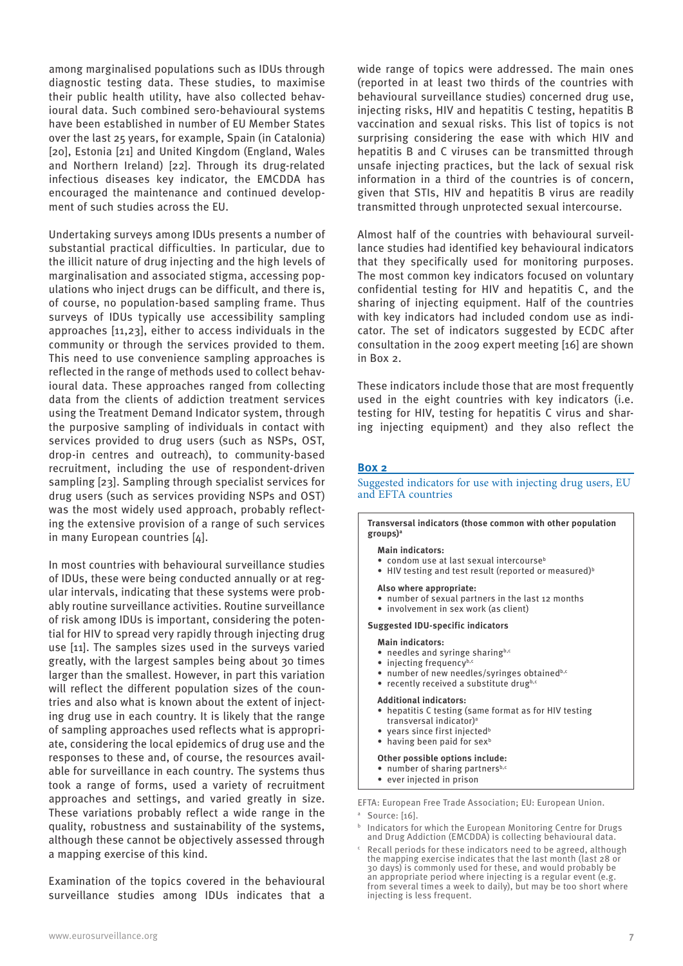among marginalised populations such as IDUs through diagnostic testing data. These studies, to maximise their public health utility, have also collected behavioural data. Such combined sero-behavioural systems have been established in number of EU Member States over the last 25 years, for example, Spain (in Catalonia) [20], Estonia [21] and United Kingdom (England, Wales and Northern Ireland) [22]. Through its drug-related infectious diseases key indicator, the EMCDDA has encouraged the maintenance and continued development of such studies across the EU.

Undertaking surveys among IDUs presents a number of substantial practical difficulties. In particular, due to the illicit nature of drug injecting and the high levels of marginalisation and associated stigma, accessing populations who inject drugs can be difficult, and there is, of course, no population-based sampling frame. Thus surveys of IDUs typically use accessibility sampling approaches [11,23], either to access individuals in the community or through the services provided to them. This need to use convenience sampling approaches is reflected in the range of methods used to collect behavioural data. These approaches ranged from collecting data from the clients of addiction treatment services using the Treatment Demand Indicator system, through the purposive sampling of individuals in contact with services provided to drug users (such as NSPs, OST, drop-in centres and outreach), to community-based recruitment, including the use of respondent-driven sampling [23]. Sampling through specialist services for drug users (such as services providing NSPs and OST) was the most widely used approach, probably reflecting the extensive provision of a range of such services in many European countries [4].

In most countries with behavioural surveillance studies of IDUs, these were being conducted annually or at regular intervals, indicating that these systems were probably routine surveillance activities. Routine surveillance of risk among IDUs is important, considering the potential for HIV to spread very rapidly through injecting drug use [11]. The samples sizes used in the surveys varied greatly, with the largest samples being about 30 times larger than the smallest. However, in part this variation will reflect the different population sizes of the countries and also what is known about the extent of injecting drug use in each country. It is likely that the range of sampling approaches used reflects what is appropriate, considering the local epidemics of drug use and the responses to these and, of course, the resources available for surveillance in each country. The systems thus took a range of forms, used a variety of recruitment approaches and settings, and varied greatly in size. These variations probably reflect a wide range in the quality, robustness and sustainability of the systems, although these cannot be objectively assessed through a mapping exercise of this kind.

Examination of the topics covered in the behavioural surveillance studies among IDUs indicates that a wide range of topics were addressed. The main ones (reported in at least two thirds of the countries with behavioural surveillance studies) concerned drug use, injecting risks, HIV and hepatitis C testing, hepatitis B vaccination and sexual risks. This list of topics is not surprising considering the ease with which HIV and hepatitis B and C viruses can be transmitted through unsafe injecting practices, but the lack of sexual risk information in a third of the countries is of concern, given that STIs, HIV and hepatitis B virus are readily transmitted through unprotected sexual intercourse.

Almost half of the countries with behavioural surveillance studies had identified key behavioural indicators that they specifically used for monitoring purposes. The most common key indicators focused on voluntary confidential testing for HIV and hepatitis C, and the sharing of injecting equipment. Half of the countries with key indicators had included condom use as indicator. The set of indicators suggested by ECDC after consultation in the 2009 expert meeting [16] are shown in Box 2.

These indicators include those that are most frequently used in the eight countries with key indicators (i.e. testing for HIV, testing for hepatitis C virus and sharing injecting equipment) and they also reflect the

## **Box 2**

Suggested indicators for use with injecting drug users, EU and EFTA countries

**Transversal indicators (those common with other population groups)a**

#### **Main indicators:**

- condom use at last sexual intercourse<sup>b</sup>
- HIV testing and test result (reported or measured)<sup>b</sup>

#### **Also where appropriate:**

- number of sexual partners in the last 12 months
- involvement in sex work (as client)

#### **Suggested IDU-specific indicators**

#### **Main indicators:**

- $\bullet$  needles and syringe sharing<sup>b,c</sup>
- $\bullet$  injecting frequency<sup>b,d</sup>
- number of new needles/syringes obtainedb,c
- $\bullet$  recently received a substitute drugb,c

#### **Additional indicators:**

- • hepatitis C testing (same format as for HIV testing transversal indicator)a
- years since first injected<sup>b</sup>
- $\bullet$  having been paid for sex<sup>b</sup>

#### **Other possible options include:**

- number of sharing partners<sup>b,c</sup>
- • ever injected in prison

EFTA: European Free Trade Association; EU: European Union.

<sup>a</sup> Source: [16].

b Indicators for which the European Monitoring Centre for Drugs and Drug Addiction (EMCDDA) is collecting behavioural data.

c Recall periods for these indicators need to be agreed, although the mapping exercise indicates that the last month (last 28 or 30 days) is commonly used for these, and would probably be an appropriate period where injecting is a regular event (e.g. from several times a week to daily), but may be too short where injecting is less frequent.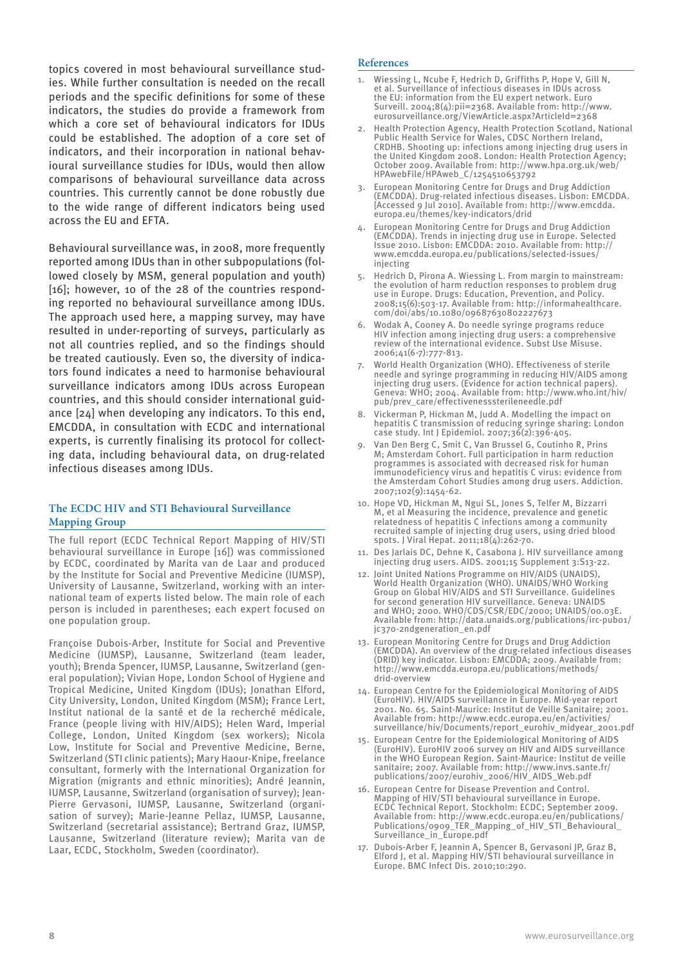topics covered in most behavioural surveillance studies. While further consultation is needed on the recall periods and the specific definitions for some of these indicators, the studies do provide a framework from which a core set of behavioural indicators for IDUs could be established. The adoption of a core set of indicators, and their incorporation in national behavioural surveillance studies for IDUs, would then allow comparisons of behavioural surveillance data across countries. This currently cannot be done robustly due to the wide range of different indicators being used across the EU and EFTA.

Behavioural surveillance was, in 2008, more frequently reported among IDUs than in other subpopulations (followed closely by MSM, general population and youth) [16]; however, 10 of the 28 of the countries responding reported no behavioural surveillance among IDUs. The approach used here, a mapping survey, may have resulted in under-reporting of surveys, particularly as not all countries replied, and so the findings should be treated cautiously. Even so, the diversity of indicators found indicates a need to harmonise behavioural surveillance indicators among IDUs across European countries, and this should consider international guidance [24] when developing any indicators. To this end, EMCDDA, in consultation with ECDC and international experts, is currently finalising its protocol for collecting data, including behavioural data, on drug-related infectious diseases among IDUs.

## **The ECDC HIV and STI Behavioural Surveillance Mapping Group**

The full report (ECDC Technical Report Mapping of HIV/STI behavioural surveillance in Europe [16]) was commissioned by ECDC, coordinated by Marita van de Laar and produced by the Institute for Social and Preventive Medicine (IUMSP), University of Lausanne, Switzerland, working with an international team of experts listed below. The main role of each person is included in parentheses; each expert focused on one population group.

Françoise Dubois-Arber, Institute for Social and Preventive Medicine (IUMSP), Lausanne, Switzerland (team leader, youth); Brenda Spencer, IUMSP, Lausanne, Switzerland (general population); Vivian Hope, London School of Hygiene and Tropical Medicine, United Kingdom (IDUs); Jonathan Elford, City University, London, United Kingdom (MSM); France Lert, Institut national de la santé et de la recherché médicale, France (people living with HIV/AIDS); Helen Ward, Imperial College, London, United Kingdom (sex workers); Nicola Low, Institute for Social and Preventive Medicine, Berne, Switzerland (STI clinic patients); Mary Haour-Knipe, freelance consultant, formerly with the International Organization for Migration (migrants and ethnic minorities); André Jeannin, IUMSP, Lausanne, Switzerland (organisation of survey); Jean-Pierre Gervasoni, IUMSP, Lausanne, Switzerland (organisation of survey); Marie-Jeanne Pellaz, IUMSP, Lausanne, Switzerland (secretarial assistance); Bertrand Graz, IUMSP, Lausanne, Switzerland (literature review); Marita van de Laar, ECDC, Stockholm, Sweden (coordinator).

#### **References**

- Wiessing L, Ncube F, Hedrich D, Griffiths P, Hope V, Gill N, et al. Surveillance of infectious diseases in IDUs across the EU: information from the EU expert network. Euro Surveill. 2004;8(4):pii=2368. Available from: http://www. eurosurveillance.org/ViewArticle.aspx?ArticleId=2368
- Health Protection Agency, Health Protection Scotland, National Public Health Service for Wales, CDSC Northern Ireland, CRDHB. Shooting up: infections among injecting drug users in the United Kingdom 2008. London: Health Protection Agency; October 2009. Available from: http://www.hpa.org.uk/web/ HPAwebFile/HPAweb\_C/1254510653792
- 3. European Monitoring Centre for Drugs and Drug Addiction (EMCDDA). Drug-related infectious diseases. Lisbon: EMCDDA. [Accessed 9 Jul 2010]. Available from: http://www.emcdda. europa.eu/themes/key-indicators/drid
- European Monitoring Centre for Drugs and Drug Addiction (EMCDDA). Trends in injecting drug use in Europe. Selected Issue 2010. Lisbon: EMCDDA: 2010. Available from: http:// www.emcdda.europa.eu/publications/selected-issues/ injecting
- 5. Hedrich D, Pirona A. Wiessing L. From margin to mainstream: the evolution of harm reduction responses to problem drug use in Europe. Drugs: Education, Prevention, and Policy. 2008;15(6):503-17. Available from: http://informahealthcare. com/doi/abs/10.1080/09687630802227673
- 6. Wodak A, Cooney A. Do needle syringe programs reduce HIV infection among injecting drug users: a comprehensive review of the international evidence. Subst Use Misuse. 2006;41(6-7):777-813.
- 7. World Health Organization (WHO). Effectiveness of sterile needle and syringe programming in reducing HIV/AIDS among injecting drug users. (Evidence for action technical papers). Geneva: WHO; 2004. Available from: http://www.who.int/hiv/ pub/prev\_care/effectivenesssterileneedle.pdf
- 8. Vickerman P, Hickman M, Judd A. Modelling the impact on hepatitis C transmission of reducing syringe sharing: London case study. Int J Epidemiol. 2007;36(2):396-405.
- 9. Van Den Berg C, Smit C, Van Brussel G, Coutinho R, Prins M; Amsterdam Cohort. Full participation in harm reduction programmes is associated with decreased risk for human immunodeficiency virus and hepatitis C virus: evidence from the Amsterdam Cohort Studies among drug users. Addiction. 2007;102(9):1454-62.
- 10. Hope VD, Hickman M, Ngui SL, Jones S, Telfer M, Bizzarri M, et al Measuring the incidence, prevalence and genetic relatedness of hepatitis C infections among a community recruited sample of injecting drug users, using dried blood spots. J Viral Hepat. 2011;18(4):262-70.
- 11. Des Jarlais DC, Dehne K, Casabona J. HIV surveillance among injecting drug users. AIDS. 2001;15 Supplement 3:S13-22.
- 12. Joint United Nations Programme on HIV/AIDS (UNAIDS), World Health Organization (WHO). UNAIDS/WHO Working Group on Global HIV/AIDS and STI Surveillance. Guidelines for second generation HIV surveillance. Geneva: UNAIDS and WHO; 2000. WHO/CDS/CSR/EDC/2000; UNAIDS/00.03E. Available from: http://data.unaids.org/publications/irc-pub01/ jc370-2ndgeneration\_en.pdf
- 13. European Monitoring Centre for Drugs and Drug Addiction (EMCDDA). An overview of the drug-related infectious diseases (DRID) key indicator. Lisbon: EMCDDA; 2009. Available from: http://www.emcdda.europa.eu/publications/methods/ drid-overview
- 14. European Centre for the Epidemiological Monitoring of AIDS (EuroHIV). HIV/AIDS surveillance in Europe. Mid-year report 2001. No. 65. Saint-Maurice: Institut de Veille Sanitaire; 2001. Available from: http://www.ecdc.europa.eu/en/activities/ surveillance/hiv/Documents/report\_eurohiv\_midyear\_2001.pdf
- 15. European Centre for the Epidemiological Monitoring of AIDS (EuroHIV). EuroHIV 2006 survey on HIV and AIDS surveillance in the WHO European Region. Saint-Maurice: Institut de veille sanitaire; 2007. Available from: http://www.invs.sante.fr/ publications/2007/eurohiv\_2006/HIV\_AIDS\_Web.pdf
- 16. European Centre for Disease Prevention and Control. Mapping of HIV/STI behavioural surveillance in Europe. ECDC Technical Report. Stockholm: ECDC; September 2009. Available from: http://www.ecdc.europa.eu/en/publications/ Publications/0909\_TER\_Mapping\_of\_HIV\_STI\_Behavioural\_ Surveillance\_in\_Europe.pdf
- 17. Dubois-Arber F, Jeannin A, Spencer B, Gervasoni JP, Graz B, Elford J, et al. Mapping HIV/STI behavioural surveillance in Europe. BMC Infect Dis. 2010;10:290.